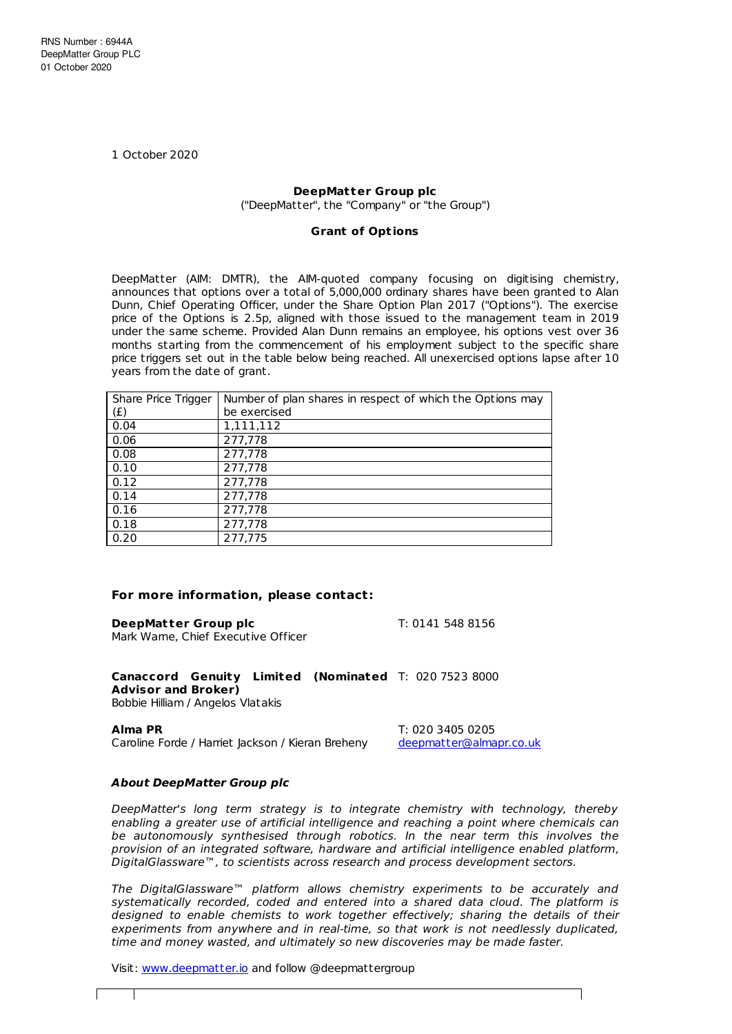1 October 2020

## **DeepMatter Group plc**

("DeepMatter", the "Company" or "the Group")

## **Grant of Opt ions**

DeepMatter (AIM: DMTR), the AIM-quoted company focusing on digitising chemistry, announces that options over a total of 5,000,000 ordinary shares have been granted to Alan Dunn, Chief Operating Officer, under the Share Option Plan 2017 ("Options"). The exercise price of the Options is 2.5p, aligned with those issued to the management team in 2019 under the same scheme. Provided Alan Dunn remains an employee, his options vest over 36 months starting from the commencement of his employment subject to the specific share price triggers set out in the table below being reached. All unexercised options lapse after 10 years from the date of grant.

| Share Price Trigger | Number of plan shares in respect of which the Options may |  |
|---------------------|-----------------------------------------------------------|--|
| (f)                 | be exercised                                              |  |
| 0.04                | 1,111,112                                                 |  |
| 0.06                | 277,778                                                   |  |
| 0.08                | 277,778                                                   |  |
| 0.10                | 277,778                                                   |  |
| 0.12                | 277,778                                                   |  |
| 0.14                | 277,778                                                   |  |
| 0.16                | 277,778                                                   |  |
| 0.18                | 277,778                                                   |  |
| 0.20                | 277,775                                                   |  |

## **For more information, please contact:**

**DeepMatter Group plc** T: 0141 548 8156 Mark Warne, Chief Executive Officer

**Canaccord Genuity Limited (Nominated** T: 020 7523 8000 **Advisor and Broker)** Bobbie Hilliam / Angelos Vlatakis

**Alma PR** T: 020 3405 0205 Caroline Forde / Harriet Jackson / Kieran Breheny [deepmatter@almapr.co.uk](mailto:deepmatter@almapr.co.uk)

## **About DeepMatter Group plc**

DeepMatter's long term strategy is to integrate chemistry with technology, thereby enabling a greater use of artificial intelligence and reaching a point where chemicals can be autonomously synthesised through robotics. In the near term this involves the provision of an integrated software, hardware and artificial intelligence enabled platform, DigitalGlassware™, to scientists across research and process development sectors.

The DigitalGlassware™ platform allows chemistry experiments to be accurately and systematically recorded, coded and entered into a shared data cloud. The platform is designed to enable chemists to work together effectively; sharing the details of their experiments from anywhere and in real-time, so that work is not needlessly duplicated, time and money wasted, and ultimately so new discoveries may be made faster.

Visit: [www.deepmatter.io](https://www.deepmatter.io/) and follow @deepmattergroup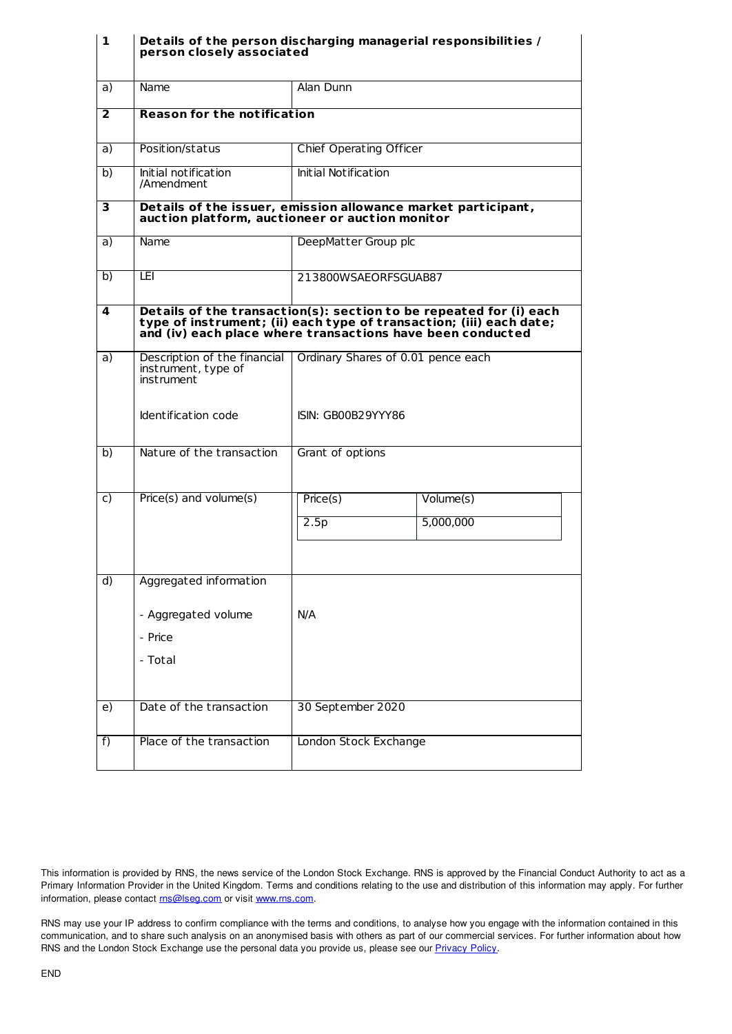| 1            | Details of the person discharging managerial responsibilities /<br>person closely associated                     |                                                                                                                                                                                                         |           |  |
|--------------|------------------------------------------------------------------------------------------------------------------|---------------------------------------------------------------------------------------------------------------------------------------------------------------------------------------------------------|-----------|--|
| a)           | Name                                                                                                             | Alan Dunn                                                                                                                                                                                               |           |  |
| $\mathbf{2}$ | <b>Reason for the notification</b>                                                                               |                                                                                                                                                                                                         |           |  |
| a)           | Position/status                                                                                                  | <b>Chief Operating Officer</b>                                                                                                                                                                          |           |  |
| b)           | Initial notification<br>/Amendment                                                                               | Initial Notification                                                                                                                                                                                    |           |  |
| 3            | Details of the issuer, emission allowance market participant,<br>auction platform, auctioneer or auction monitor |                                                                                                                                                                                                         |           |  |
| a)           | Name                                                                                                             | DeepMatter Group plc                                                                                                                                                                                    |           |  |
| b)           | LEI                                                                                                              | 213800WSAEORFSGUAB87                                                                                                                                                                                    |           |  |
| 4            |                                                                                                                  | Details of the transaction(s): section to be repeated for (i) each<br>type of instrument; (ii) each type of transaction; (iii) each date;<br>and (iv) each place where transactions have been conducted |           |  |
| a)           | Description of the financial<br>instrument, type of<br>instrument                                                | Ordinary Shares of 0.01 pence each                                                                                                                                                                      |           |  |
|              | Identification code                                                                                              | ISIN: GB00B29YYY86                                                                                                                                                                                      |           |  |
| b)           | Nature of the transaction                                                                                        | Grant of options                                                                                                                                                                                        |           |  |
| C)           | Price(s) and volume(s)                                                                                           | Price(s)                                                                                                                                                                                                | Volume(s) |  |
|              |                                                                                                                  | 2.5p                                                                                                                                                                                                    | 5,000,000 |  |
|              |                                                                                                                  |                                                                                                                                                                                                         |           |  |
| d)           | Aggregated information                                                                                           |                                                                                                                                                                                                         |           |  |
|              | - Aggregated volume                                                                                              | N/A                                                                                                                                                                                                     |           |  |
|              | - Price                                                                                                          |                                                                                                                                                                                                         |           |  |
|              | - Total                                                                                                          |                                                                                                                                                                                                         |           |  |
| e)           | Date of the transaction                                                                                          | 30 September 2020                                                                                                                                                                                       |           |  |
| f)           | Place of the transaction                                                                                         | London Stock Exchange                                                                                                                                                                                   |           |  |

This information is provided by RNS, the news service of the London Stock Exchange. RNS is approved by the Financial Conduct Authority to act as a Primary Information Provider in the United Kingdom. Terms and conditions relating to the use and distribution of this information may apply. For further information, please contact [rns@lseg.com](mailto:rns@lseg.com) or visit [www.rns.com](http://www.rns.com/).

RNS may use your IP address to confirm compliance with the terms and conditions, to analyse how you engage with the information contained in this communication, and to share such analysis on an anonymised basis with others as part of our commercial services. For further information about how RNS and the London Stock Exchange use the personal data you provide us, please see our **[Privacy](https://www.lseg.com/privacy-and-cookie-policy) Policy**.